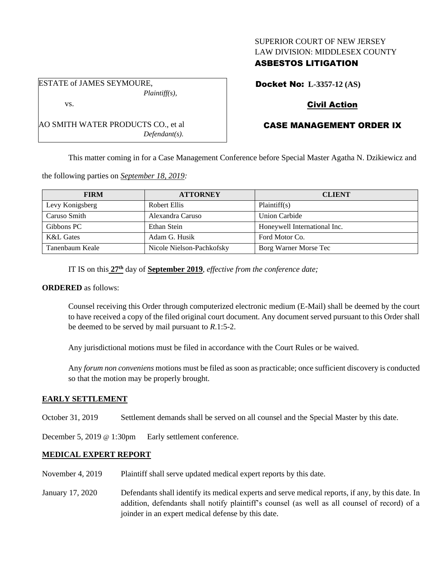## SUPERIOR COURT OF NEW JERSEY LAW DIVISION: MIDDLESEX COUNTY

## ASBESTOS LITIGATION

ESTATE of JAMES SEYMOURE,

Docket No: **L-3357-12 (AS)**

# Civil Action

# CASE MANAGEMENT ORDER IX

This matter coming in for a Case Management Conference before Special Master Agatha N. Dzikiewicz and

the following parties on *September 18, 2019:*

| <b>FIRM</b>     | <b>ATTORNEY</b>           | <b>CLIENT</b>                |
|-----------------|---------------------------|------------------------------|
| Levy Konigsberg | Robert Ellis              | Plaintiff(s)                 |
| Caruso Smith    | Alexandra Caruso          | Union Carbide                |
| Gibbons PC      | Ethan Stein               | Honeywell International Inc. |
| K&L Gates       | Adam G. Husik             | Ford Motor Co.               |
| Tanenbaum Keale | Nicole Nielson-Pachkofsky | Borg Warner Morse Tec        |

IT IS on this **27th** day of **September 2019**, *effective from the conference date;*

### **ORDERED** as follows:

Counsel receiving this Order through computerized electronic medium (E-Mail) shall be deemed by the court to have received a copy of the filed original court document. Any document served pursuant to this Order shall be deemed to be served by mail pursuant to *R*.1:5-2.

Any jurisdictional motions must be filed in accordance with the Court Rules or be waived.

Any *forum non conveniens* motions must be filed as soon as practicable; once sufficient discovery is conducted so that the motion may be properly brought.

## **EARLY SETTLEMENT**

October 31, 2019 Settlement demands shall be served on all counsel and the Special Master by this date.

December 5, 2019 @ 1:30pm Early settlement conference.

## **MEDICAL EXPERT REPORT**

- November 4, 2019 Plaintiff shall serve updated medical expert reports by this date.
- January 17, 2020 Defendants shall identify its medical experts and serve medical reports, if any, by this date. In addition, defendants shall notify plaintiff's counsel (as well as all counsel of record) of a joinder in an expert medical defense by this date.

*Plaintiff(s),* vs.

AO SMITH WATER PRODUCTS CO., et al

*Defendant(s).*